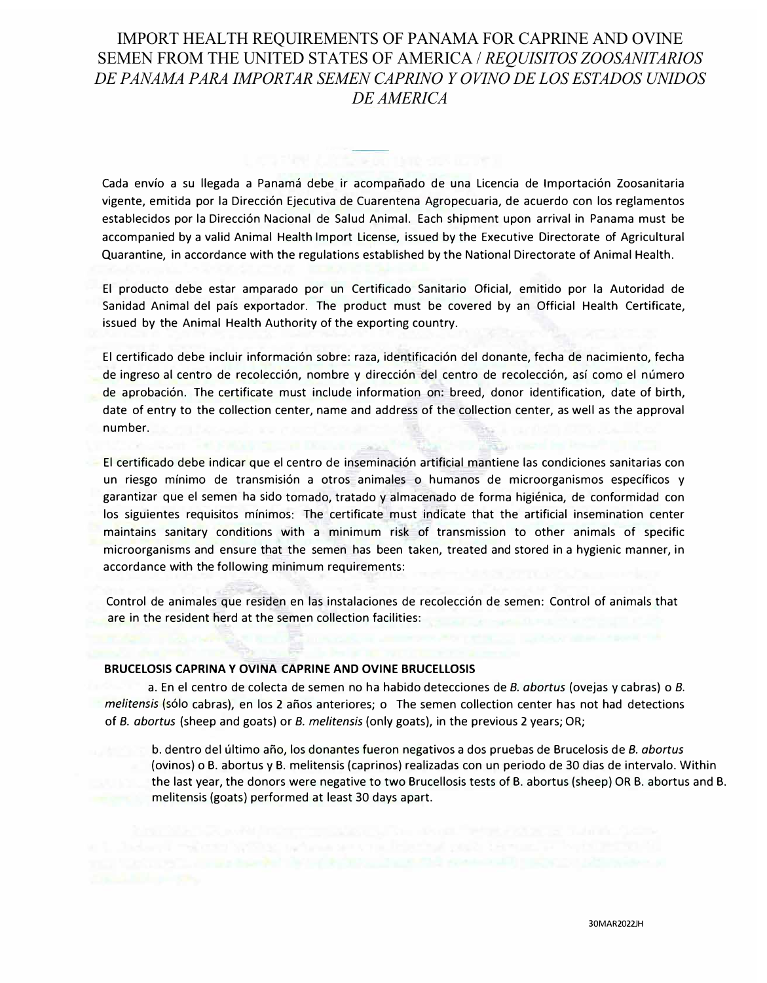# IMPORT HEALTH REQUIREMENTS OF PANAMA FOR CAPRINE AND OVINE SEMEN FROM THE UNITED STATES OF AMERICA / *REQUISITOS ZOOSANITARIOS DE PANAMA PARA IMPORTAR SEMEN CAPRINO Y OVINO DE LOS ESTADOS UNIDOS DE AMERICA*

Cada envío a su llegada a Panamá debe ir acompañado de una Licencia de Importación Zoosanitaria vigente, emitida por la Direcci6n Ejecutiva de Cuarentena Agropecuaria, de acuerdo con los reglamentos establecidos por la Dirección Nacional de Salud Animal. Each shipment upon arrival in Panama must be accompanied by a valid Animal Health Import License, issued by the Executive Directorate of Agricultural Quarantine, in accordance with the regulations established by the National Directorate of Animal Health.

El producto debe estar amparado por un Certificado Sanitario Oficial, emitido por la Autoridad de Sanidad Animal del pais exportador. The product must be covered by an Official Health Certificate, issued by the Animal Health Authority of the exporting country.

El certificado debe incluir información sobre: raza, identificación del donante, fecha de nacimiento, fecha de ingreso al centro de recolección, nombre y dirección del centro de recolección, así como el número de aprobaci6n. The certificate must include information on: breed, donor identification, date of birth, date of entry to the collection center, name and address of the collection center, as well as the approval number.

El certificado debe indicar que el centro de inseminaci6n artificial mantiene las condiciones sanitarias con un riesgo mínimo de transmisión a otros animales o humanos de microorganismos específicos y garantizar que el semen ha sido tornado, tratado y almacenado de forma higienica, de conformidad con los siguientes requisites minimos: The certificate must indicate that the artificial insemination center maintains sanitary conditions with a minimum risk of transmission to other animals of specific microorganisms and ensure that the semen has been taken, treated and stored in a hygienic manner, in accordance with the following minimum requirements:

Control de animales que residen en las instalaciones de recolección de semen: Control of animals that are in the resident herd at the semen collection facilities:

### **BRUCELOSIS CAPRINA Y OVINA CAPRINE AND OVINE BRUCELLOSIS**

a. En el centro de colecta de semen no ha habido detecciones de *8. abortus* (ovejas y cabras) o *8. melitensis* (solo cabras), en los 2 afios anteriores; o The semen collection center has not had detections of *8. abortus* (sheep and goats) or *8. melitensis* (only goats), in the previous 2 years; OR;

b. dentro del ultimo afio, los donantes fueron negativos a dos pruebas de Brucelosis de *8. abortus* (ovinos) o B. abortus y B. melitensis (caprinos) realizadas con un periodo de 30 dias de intervalo. Within the last year, the donors were negative to two Brucellosis tests of B. abortus (sheep) OR B. abortus and B. melitensis (goats) performed at least 30 days apart.

30MAR2022JH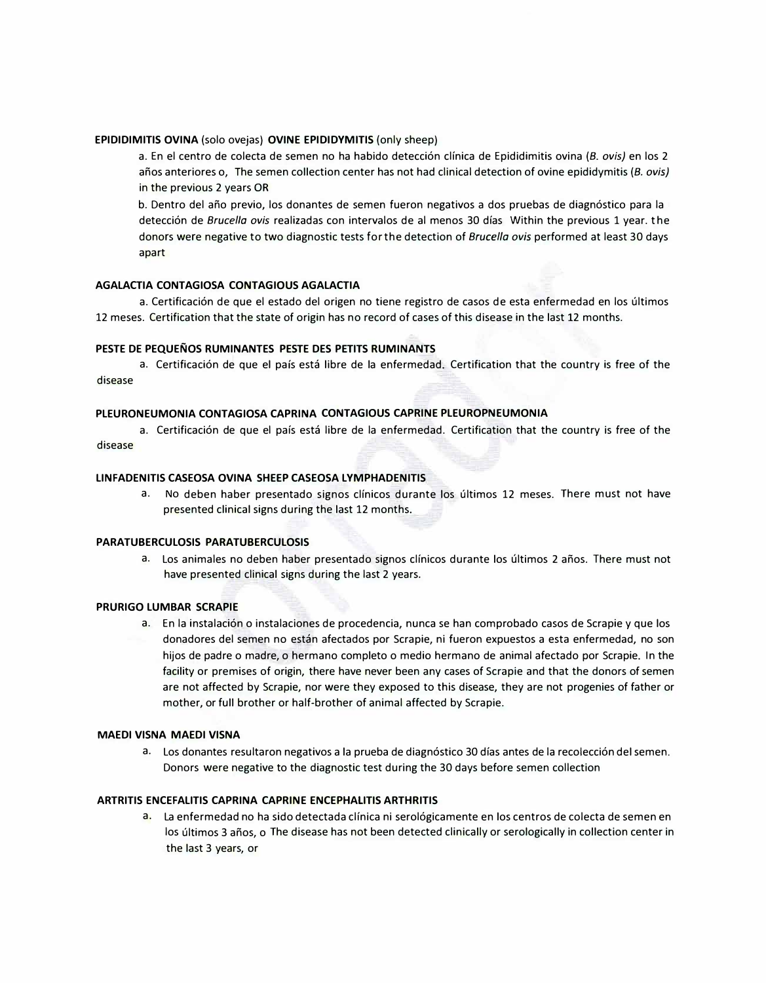## **EPIDIDIMITIS OVINA** (solo ovejas) **OVINE EPIDIDVMITIS** (only sheep)

a. En el centro de colecta de semen no ha habido detecci6n clfnica de Epididimitis ovina (8. *ovis)* en los 2 años anteriores o, The semen collection center has not had clinical detection of ovine epididymitis (B. ovis) in the previous 2 years OR

b. Dentro del año previo, los donantes de semen fueron negativos a dos pruebas de diagnóstico para la detección de *Brucella ovis* realizadas con intervalos de al menos 30 días Within the previous 1 year. the donors were negative to two diagnostic tests for the detection of *Bruce/la ovis* performed at least 30 days apart

## **AGALACTIA CONTAGIOSA CONTAGIOUS AGALACTIA**

a. Certificación de que el estado del origen no tiene registro de casos de esta enfermedad en los últimos 12 meses. Certification that the state of origin has no record of cases of this disease in the last 12 months.

## **PESTE DE PEQUENOS RUMINANTES PESTE DES PETITS RUMINANTS**

a. Certificación de que el país está libre de la enfermedad. Certification that the country is free of the disease

## **PLEURONEUMONIA CONTAGIOSA CAPRINA CONTAGIOUS CAPRINE PLEUROPNEUMONIA**

a. Certificación de que el país está libre de la enfermedad. Certification that the country is free of the disease

#### **LINFADENITIS CASEOSA OVINA SHEEP CASEOSA LVMPHADENITIS**

a. No deben haber presentado signos clínicos durante los últimos 12 meses. There must not have presented clinical signs during the last 12 months.

#### **PARATUBERCULOSIS PARATUBERCULOSIS**

a. Los animales no deben haber presentado signos clínicos durante los últimos 2 años. There must not have presented clinical signs during the last 2 years.

#### **PRURIGO LUMBAR SCRAPIE**

a. En la instalación o instalaciones de procedencia, nunca se han comprobado casos de Scrapie y que los donadores del semen no estan afectados por Scrapie, ni fueron expuestos a esta enfermedad, no son hijos de padre o madre, o hermano completo o medio hermano de animal afectado por Scrapie. In the facility or premises of origin, there have never been any cases of Scrapie and that the donors of semen are not affected by Scrapie, nor were they exposed to this disease, they are not progenies of father or mother, or full brother or half-brother of animal affected by Scrapie.

#### **MAEDI VISNA MAEDI VISNA**

a. Los donantes resultaron negativos a la prueba de diagnóstico 30 días antes de la recolección del semen. Donors were negative to the diagnostic test during the 30 days before semen collection

#### **ARTRITIS ENCEFALITIS CAPRINA CAPRINE ENCEPHALITIS ARTHRITIS**

a. La enfermedad no ha sido detectada clfnica ni serol6gicamente en los centros de colecta de semen en los últimos 3 años, o The disease has not been detected clinically or serologically in collection center in the last 3 years, or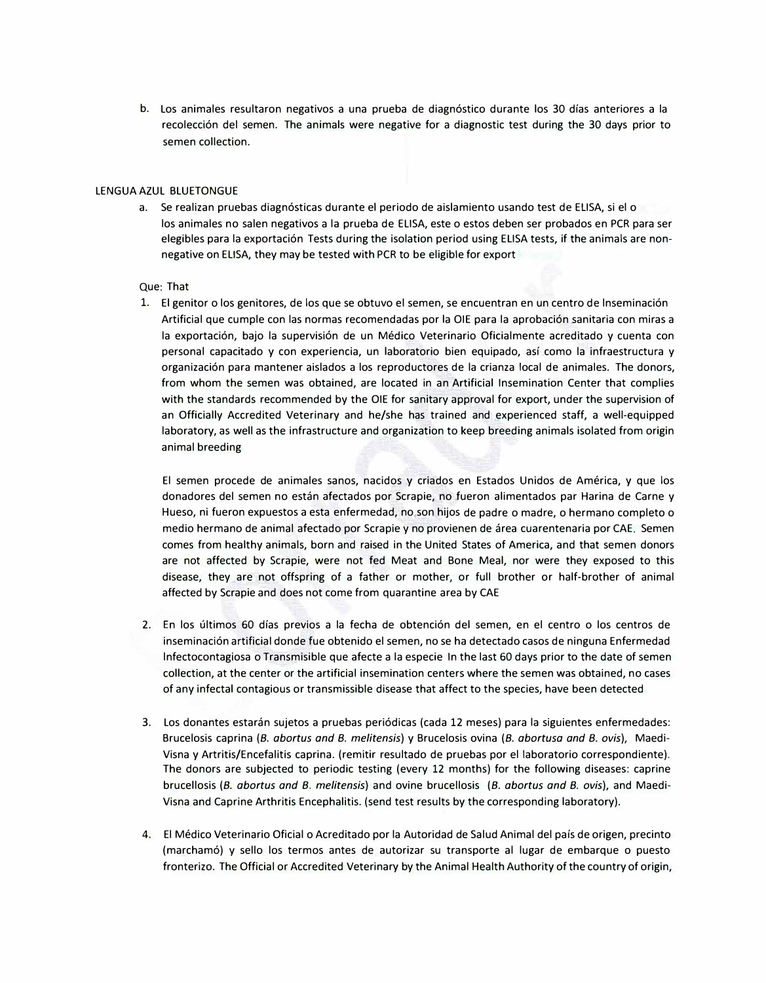b. Los animales resultaron negativos a una prueba de diagn6stico durante los 30 dfas anteriores a la recolección del semen. The animals were negative for a diagnostic test during the 30 days prior to semen collection.

### LENGUA AZUL BLUETONGUE

a. Se realizan pruebas diagnósticas durante el periodo de aislamiento usando test de ELISA, si el o los animales no salen negativos a la prueba de ELISA, este o estos deben ser probados en PCR para ser elegibles para la exportación Tests during the isolation period using ELISA tests, if the animals are nonnegative on ELISA, they may be tested with PCR to be eligible for export

## Que: That

1. El genitor o los genitores, de los que se obtuvo el semen, se encuentran en un centro de Inseminación Artificial que cumple con las normas recomendadas por la OIE para la aprobación sanitaria con miras a la exportación, bajo la supervisión de un Médico Veterinario Oficialmente acreditado y cuenta con personal capacitado y con experiencia, un laboratorio bien equipado, asf como la infraestructura y organizaci6n para mantener aislados a los reproductores de la crianza local de animales. The donors, from whom the semen was obtained, are located in an Artificial Insemination Center that complies with the standards recommended by the OIE for sanitary approval for export, under the supervision of an Officially Accredited Veterinary and he/she has trained and experienced staff, a well-equipped laboratory, as well as the infrastructure and organization to keep breeding animals isolated from origin animal breeding

El semen procede de animales sanos, nacidos y criados en Estados Unidos de America, y que los donadores del semen no estan afectados por Scrapie, no fueron alimentados par Harina de Carne y Hueso, ni fueron expuestos a esta enfermedad, no son hijos de padre o madre, o hermano completo o medio hermano de animal afectado por Scrapie y no provienen de área cuarentenaria por CAE. Semen comes from healthy animals, born and raised in the United States of America, and that semen donors are not affected by Scrapie, were not fed Meat and Bone Meal, nor were they exposed to this disease, they are not offspring of a father or mother, or full brother or half-brother of animal affected by Scrapie and does not come from quarantine area by CAE

- 2. En los últimos 60 días previos a la fecha de obtención del semen, en el centro o los centros de inseminaci6n artificial donde fue obtenido el semen, no se ha detectado casos de ninguna Enfermedad lnfectocontagiosa o Transmisible que afecte a la especie In the last 60 days prior to the date of semen collection, at the center or the artificial insemination centers where the semen was obtained, no cases of any infectal contagious or transmissible disease that affect to the species, have been detected
- 3. Los donantes estarán sujetos a pruebas periódicas (cada 12 meses) para la siguientes enfermedades: Brucelosis caprina {8. *abortus and 8. melitensis)* y Brucelosis ovina (8. *abortusa and 8. ovis),* Maedi-Visna y Artritis/Encefalitis caprina. (remitir resultado de pruebas por el laboratorio correspondiente). The donors are subjected to periodic testing (every 12 months) for the following diseases: caprine brucellosis (8. *abortus and 8. melitensis)* and ovine brucellosis (8. *abortus and 8. ovis),* and Maedi-Visna and Caprine Arthritis Encephalitis. (send test results by the corresponding laboratory).
- 4. El Medico Veterinario Oficial o Acreditado por la Autoridad de Salud Animal del pafs de origen, precinto (marcham6) y sello los termos antes de autorizar su transporte al lugar de embarque o puesto fronterizo. The Official or Accredited Veterinary by the Animal Health Authority of the country of origin,